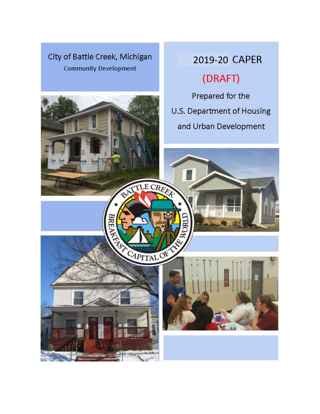## <span id="page-0-0"></span>City of Battle Creek, Michigan **Community Development**

# 2019-20 CAPER (DRAFT)

Prepared for the U.S. Department of Housing and Urban Development

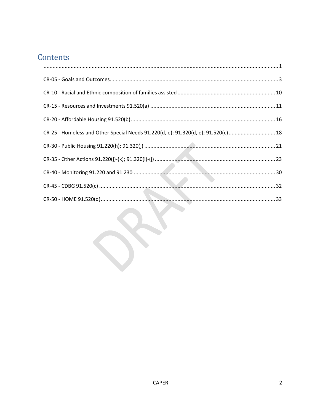# Contents

| $\begin{minipage}{0.9\linewidth} \begin{tabular}{l} \hline \textbf{1} & \textbf{2} & \textbf{3} & \textbf{4} \\ \hline \textbf{2} & \textbf{3} & \textbf{5} & \textbf{6} \\ \textbf{3} & \textbf{4} & \textbf{5} & \textbf{6} \\ \textbf{4} & \textbf{5} & \textbf{6} & \textbf{7} \\ \textbf{5} & \textbf{6} & \textbf{6} & \textbf{7} \\ \textbf{6} & \textbf{7} & \textbf{8} & \textbf{8} \\ \textbf{7} & \textbf{8} & \textbf{9} & \textbf{$ |  |
|--------------------------------------------------------------------------------------------------------------------------------------------------------------------------------------------------------------------------------------------------------------------------------------------------------------------------------------------------------------------------------------------------------------------------------------------------|--|
|                                                                                                                                                                                                                                                                                                                                                                                                                                                  |  |
|                                                                                                                                                                                                                                                                                                                                                                                                                                                  |  |
|                                                                                                                                                                                                                                                                                                                                                                                                                                                  |  |
|                                                                                                                                                                                                                                                                                                                                                                                                                                                  |  |
| CR-25 - Homeless and Other Special Needs 91.220(d, e); 91.320(d, e); 91.520(c) 18                                                                                                                                                                                                                                                                                                                                                                |  |
|                                                                                                                                                                                                                                                                                                                                                                                                                                                  |  |
|                                                                                                                                                                                                                                                                                                                                                                                                                                                  |  |
|                                                                                                                                                                                                                                                                                                                                                                                                                                                  |  |
|                                                                                                                                                                                                                                                                                                                                                                                                                                                  |  |
|                                                                                                                                                                                                                                                                                                                                                                                                                                                  |  |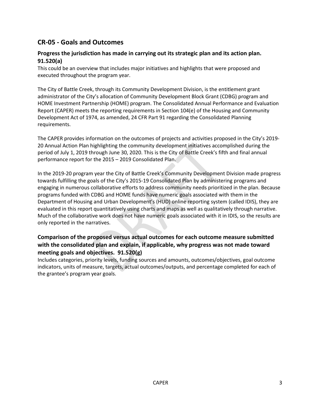## <span id="page-2-0"></span>**CR-05 - Goals and Outcomes**

## **Progress the jurisdiction has made in carrying out its strategic plan and its action plan. 91.520(a)**

This could be an overview that includes major initiatives and highlights that were proposed and executed throughout the program year.

The City of Battle Creek, through its Community Development Division, is the entitlement grant administrator of the City's allocation of Community Development Block Grant (CDBG) program and HOME Investment Partnership (HOME) program. The Consolidated Annual Performance and Evaluation Report (CAPER) meets the reporting requirements in Section 104(e) of the Housing and Community Development Act of 1974, as amended, 24 CFR Part 91 regarding the Consolidated Planning requirements.

The CAPER provides information on the outcomes of projects and activities proposed in the City's 2019- 20 Annual Action Plan highlighting the community development initiatives accomplished during the period of July 1, 2019 through June 30, 2020. This is the City of Battle Creek's fifth and final annual performance report for the 2015 – 2019 Consolidated Plan.

In the 2019-20 program year the City of Battle Creek's Community Development Division made progress towards fulfilling the goals of the City's 2015-19 Consolidated Plan by administering programs and engaging in numerous collaborative efforts to address community needs prioritized in the plan. Because programs funded with CDBG and HOME funds have numeric goals associated with them in the Department of Housing and Urban Development's (HUD) online reporting system (called IDIS), they are evaluated in this report quantitatively using charts and maps as well as qualitatively through narrative. Much of the collaborative work does not have numeric goals associated with it in IDIS, so the results are only reported in the narratives.

## **Comparison of the proposed versus actual outcomes for each outcome measure submitted with the consolidated plan and explain, if applicable, why progress was not made toward meeting goals and objectives. 91.520(g)**

Includes categories, priority levels, funding sources and amounts, outcomes/objectives, goal outcome indicators, units of measure, targets, actual outcomes/outputs, and percentage completed for each of the grantee's program year goals.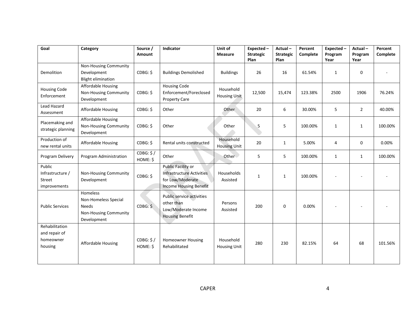| Goal                                                    | Category                                                                                 | Source /<br>Amount    | Indicator                                                                                                   | Unit of<br><b>Measure</b>        | Expected-<br><b>Strategic</b><br>Plan | Actual-<br><b>Strategic</b><br>Plan | Percent<br>Complete | Expected -<br>Program<br>Year | Actual-<br>Program<br>Year | Percent<br>Complete |
|---------------------------------------------------------|------------------------------------------------------------------------------------------|-----------------------|-------------------------------------------------------------------------------------------------------------|----------------------------------|---------------------------------------|-------------------------------------|---------------------|-------------------------------|----------------------------|---------------------|
| Demolition                                              | Non-Housing Community<br>Development<br><b>Blight elimination</b>                        | CDBG: \$              | <b>Buildings Demolished</b>                                                                                 | <b>Buildings</b>                 | 26                                    | 16                                  | 61.54%              | $\mathbf{1}$                  | $\mathbf 0$                |                     |
| <b>Housing Code</b><br>Enforcement                      | Affordable Housing<br>Non-Housing Community<br>Development                               | CDBG: \$              | <b>Housing Code</b><br>Enforcement/Foreclosed<br><b>Property Care</b>                                       | Household<br><b>Housing Unit</b> | 12,500                                | 15,474                              | 123.38%             | 2500                          | 1906                       | 76.24%              |
| <b>Lead Hazard</b><br>Assessment                        | Affordable Housing                                                                       | CDBG: \$              | Other                                                                                                       | Other                            | 20                                    | 6                                   | 30.00%              | 5                             | $\overline{2}$             | 40.00%              |
| Placemaking and<br>strategic planning                   | Affordable Housing<br>Non-Housing Community<br>Development                               | CDBG: \$              | Other                                                                                                       | Other                            | 5                                     | 5                                   | 100.00%             | $\mathbf{1}$                  | $\mathbf{1}$               | 100.00%             |
| Production of<br>new rental units                       | Affordable Housing                                                                       | CDBG: \$              | Rental units constructed                                                                                    | Household<br><b>Housing Unit</b> | 20                                    | $\mathbf{1}$                        | 5.00%               | 4                             | $\mathbf 0$                | 0.00%               |
| Program Delivery                                        | Program Administration                                                                   | CDBG: \$/<br>HOME: \$ | Other                                                                                                       | Other                            | 5                                     | 5                                   | 100.00%             | $\mathbf{1}$                  | $\mathbf{1}$               | 100.00%             |
| Public<br>Infrastructure /<br>Street<br>improvements    | Non-Housing Community<br>Development                                                     | CDBG: \$              | Public Facility or<br><b>Infrastructure Activities</b><br>for Low/Moderate<br><b>Income Housing Benefit</b> | Households<br>Assisted           | $\mathbf{1}$                          | $\mathbf{1}$                        | 100.00%             |                               |                            |                     |
| <b>Public Services</b>                                  | Homeless<br>Non-Homeless Special<br><b>Needs</b><br>Non-Housing Community<br>Development | CDBG: \$              | Public service activities<br>other than<br>Low/Moderate Income<br><b>Housing Benefit</b>                    | Persons<br>Assisted              | 200                                   | $\Omega$                            | 0.00%               |                               |                            |                     |
| Rehabilitation<br>and repair of<br>homeowner<br>housing | <b>Affordable Housing</b>                                                                | CDBG: \$/<br>HOME: \$ | <b>Homeowner Housing</b><br>Rehabilitated                                                                   | Household<br><b>Housing Unit</b> | 280                                   | 230                                 | 82.15%              | 64                            | 68                         | 101.56%             |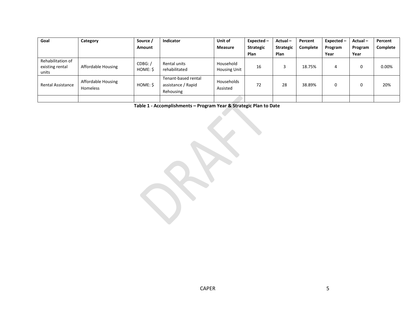| Goal                                          | Category                              | Source /            | Indicator                                              | Unit of                          | $Expected -$     | Actual-          | Percent  | Expected - | Actual- | Percent  |
|-----------------------------------------------|---------------------------------------|---------------------|--------------------------------------------------------|----------------------------------|------------------|------------------|----------|------------|---------|----------|
|                                               |                                       | Amount              |                                                        | <b>Measure</b>                   | <b>Strategic</b> | <b>Strategic</b> | Complete | Program    | Program | Complete |
|                                               |                                       |                     |                                                        |                                  | <b>Plan</b>      | Plan             |          | Year       | Year    |          |
| Rehabilitation of<br>existing rental<br>units | Affordable Housing                    | CDBG: /<br>HOME: \$ | Rental units<br>rehabilitated                          | Household<br><b>Housing Unit</b> | 16               |                  | 18.75%   | 4          | O       | 0.00%    |
| <b>Rental Assistance</b>                      | Affordable Housing<br><b>Homeless</b> | HOME: \$            | Tenant-based rental<br>assistance / Rapid<br>Rehousing | Households<br>Assisted           | 72               | 28               | 38.89%   | C          | 0       | 20%      |
|                                               |                                       |                     |                                                        |                                  |                  |                  |          |            |         |          |

**Table 1 - Accomplishments – Program Year & Strategic Plan to Date**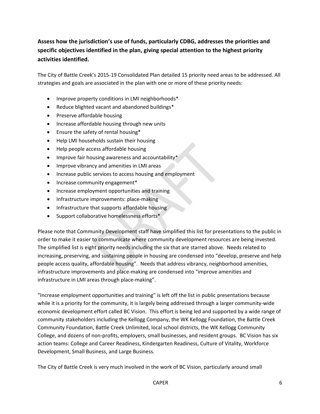## **Assess how the jurisdiction's use of funds, particularly CDBG, addresses the priorities and specific objectives identified in the plan, giving special attention to the highest priority activities identified.**

The City of Battle Creek's 2015-19 Consolidated Plan detailed 15 priority need areas to be addressed. All strategies and goals are associated in the plan with one or more of these priority needs:

- Improve property conditions in LMI neighborhoods\*
- Reduce blighted vacant and abandoned buildings\*
- Preserve affordable housing
- Increase affordable housing through new units
- Ensure the safety of rental housing\*
- Help LMI households sustain their housing
- Help people access affordable housing
- Improve fair housing awareness and accountability\*
- Improve vibrancy and amenities in LMI areas
- Increase public services to access housing and employment
- Increase community engagement\*
- Increase employment opportunities and training
- Infrastructure improvements: place-making
- Infrastructure that supports affordable housing
- Support collaborative homelessness efforts\*

Please note that Community Development staff have simplified this list for presentations to the public in order to make it easier to communicate where community development resources are being invested. The simplified list is eight priority needs including the six that are starred above. Needs related to increasing, preserving, and sustaining people in housing are condensed into "develop, preserve and help people access quality, affordable housing". Needs that address vibrancy, neighborhood amenities, infrastructure improvements and place-making are condensed into "improve amenities and infrastructure in LMI areas through place-making".

"Increase employment opportunities and training" is left off the list in public presentations because while it is a priority for the community, it is largely being addressed through a larger community-wide economic development effort called BC Vision. This effort is being led and supported by a wide range of community stakeholders including the Kellogg Company, the WK Kellogg Foundation, the Battle Creek Community Foundation, Battle Creek Unlimited, local school districts, the WK Kellogg Community College, and dozens of non-profits, employers, small businesses, and resident groups. BC Vision has six action teams: College and Career Readiness, Kindergarten Readiness, Culture of Vitality, Workforce Development, Small Business, and Large Business.

The City of Battle Creek is very much involved in the work of BC Vision, particularly around small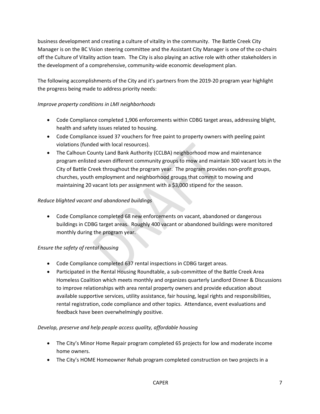business development and creating a culture of vitality in the community. The Battle Creek City Manager is on the BC Vision steering committee and the Assistant City Manager is one of the co-chairs off the Culture of Vitality action team. The City is also playing an active role with other stakeholders in the development of a comprehensive, community-wide economic development plan.

The following accomplishments of the City and it's partners from the 2019-20 program year highlight the progress being made to address priority needs:

#### *Improve property conditions in LMI neighborhoods*

- Code Compliance completed 1,906 enforcements within CDBG target areas, addressing blight, health and safety issues related to housing.
- Code Compliance issued 37 vouchers for free paint to property owners with peeling paint violations (funded with local resources).
- The Calhoun County Land Bank Authority (CCLBA) neighborhood mow and maintenance program enlisted seven different community groups to mow and maintain 300 vacant lots in the City of Battle Creek throughout the program year. The program provides non-profit groups, churches, youth employment and neighborhood groups that commit to mowing and maintaining 20 vacant lots per assignment with a \$3,000 stipend for the season.

#### *Reduce blighted vacant and abandoned buildings*

• Code Compliance completed 68 new enforcements on vacant, abandoned or dangerous buildings in CDBG target areas. Roughly 400 vacant or abandoned buildings were monitored monthly during the program year.

## *Ensure the safety of rental housing*

- Code Compliance completed 637 rental inspections in CDBG target areas.
- Participated in the Rental Housing Roundtable, a sub-committee of the Battle Creek Area Homeless Coalition which meets monthly and organizes quarterly Landlord Dinner & Discussions to improve relationships with area rental property owners and provide education about available supportive services, utility assistance, fair housing, legal rights and responsibilities, rental registration, code compliance and other topics. Attendance, event evaluations and feedback have been overwhelmingly positive.

#### *Develop, preserve and help people access quality, affordable housing*

- The City's Minor Home Repair program completed 65 projects for low and moderate income home owners.
- The City's HOME Homeowner Rehab program completed construction on two projects in a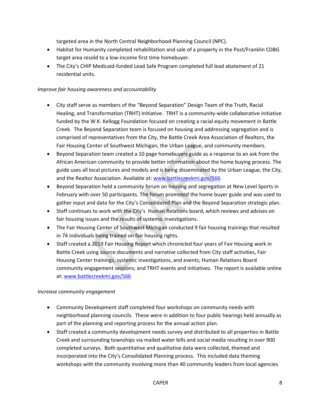targeted area in the North Central Neighborhood Planning Council (NPC).

- Habitat for Humanity completed rehabilitation and sale of a property in the Post/Franklin CDBG target area resold to a low-income first time homebuyer.
- The City's CHIP Medicaid-funded Lead Safe Program completed full lead abatement of 21 residential units.

#### *Improve fair housing awareness and accountability*

- City staff serve as members of the "Beyond Separation" Design Team of the Truth, Racial Healing, and Transformation (TRHT) Initiative. TRHT is a community-wide collaborative initiative funded by the W.K. Kellogg Foundation focused on creating a racial equity movement in Battle Creek. The Beyond Separation team is focused on housing and addressing segregation and is comprised of representatives from the City, the Battle Creek Area Association of Realtors, the Fair Housing Center of Southwest Michigan, the Urban League, and community members.
- Beyond Separation team created a 10 page homebuyers guide as a response to an ask from the African American community to provide better information about the home buying process. The guide uses all local pictures and models and is being disseminated by the Urban League, the City, and the Realtor Association. Available at[: www.battlecreekmi.gov/566](http://www.battlecreekmi.gov/566)
- Beyond Separation held a community forum on housing and segregation at New Level Sports in February with over 50 participants. The forum promoted the home buyer guide and was used to gather input and data for the City's Consolidated Plan and the Beyond Separation strategic plan.
- Staff continues to work with the City's Human Relations board, which reviews and advises on fair housing issues and the results of systemic investigations.
- The Fair Housing Center of Southwest Michigan conducted 9 fair housing trainings that resulted in 74 individuals being trained on fair housing rights.
- Staff created a 2019 Fair Housing Report which chronicled four years of Fair Housing work in Battle Creek using source documents and narrative collected from City staff activities, Fair Housing Center trainings, systemic investigations, and events; Human Relations Board community engagement sessions; and TRHT events and initiatives. The report is available online at: [www.battlecreekmi.gov/566](http://www.battlecreekmi.gov/566)

#### *Increase community engagement*

- Community Development staff completed four workshops on community needs with neighborhood planning councils. These were in addition to four public hearings held annually as part of the planning and reporting process for the annual action plan.
- Staff created a community development needs survey and distributed to all properties in Battle Creek and surrounding townships via mailed water bills and social media resulting in over 900 completed surveys. Both quantitative and qualitative data were collected, themed and incorporated into the City's Consolidated Planning process. This included data theming workshops with the community involving more than 40 community leaders from local agencies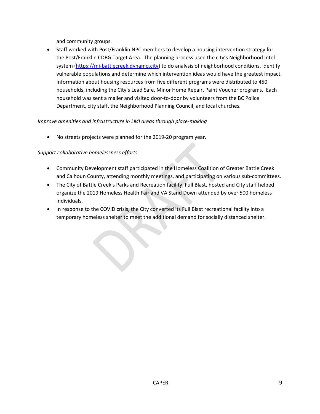and community groups.

• Staff worked with Post/Franklin NPC members to develop a housing intervention strategy for the Post/Franklin CDBG Target Area. The planning process used the city's Neighborhood Intel system [\(https://mi-battlecreek.dynamo.city\)](https://mi-battlecreek.dynamo.city/) to do analysis of neighborhood conditions, identify vulnerable populations and determine which intervention ideas would have the greatest impact. Information about housing resources from five different programs were distributed to 450 households, including the City's Lead Safe, Minor Home Repair, Paint Voucher programs. Each household was sent a mailer and visited door-to-door by volunteers from the BC Police Department, city staff, the Neighborhood Planning Council, and local churches.

#### *Improve amenities and infrastructure in LMI areas through place-making*

• No streets projects were planned for the 2019-20 program year.

#### *Support collaborative homelessness efforts*

- Community Development staff participated in the Homeless Coalition of Greater Battle Creek and Calhoun County, attending monthly meetings, and participating on various sub-committees.
- The City of Battle Creek's Parks and Recreation facility, Full Blast, hosted and City staff helped organize the 2019 Homeless Health Fair and VA Stand Down attended by over 500 homeless individuals.
- In response to the COVID crisis, the City converted its Full Blast recreational facility into a temporary homeless shelter to meet the additional demand for socially distanced shelter.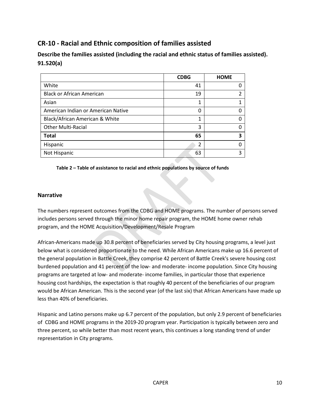## <span id="page-9-0"></span>**CR-10 - Racial and Ethnic composition of families assisted**

**Describe the families assisted (including the racial and ethnic status of families assisted). 91.520(a)** 

|                                    | <b>CDBG</b> | <b>HOME</b> |
|------------------------------------|-------------|-------------|
| White                              | 41          |             |
| <b>Black or African American</b>   | 19          |             |
| Asian                              | 1           |             |
| American Indian or American Native | 0           |             |
| Black/African American & White     | 1           |             |
| <b>Other Multi-Racial</b>          | 3           |             |
| <b>Total</b>                       | 65          |             |
| Hispanic                           | 2           |             |
| Not Hispanic                       | 63          |             |

**Table 2 – Table of assistance to racial and ethnic populations by source of funds**

#### **Narrative**

The numbers represent outcomes from the CDBG and HOME programs. The number of persons served includes persons served through the minor home repair program, the HOME home owner rehab program, and the HOME Acquisition/Development/Resale Program

African-Americans made up 30.8 percent of beneficiaries served by City housing programs, a level just below what is considered proportionate to the need. While African Americans make up 16.6 percent of the general population in Battle Creek, they comprise 42 percent of Battle Creek's severe housing cost burdened population and 41 percent of the low- and moderate- income population. Since City housing programs are targeted at low- and moderate- income families, in particular those that experience housing cost hardships, the expectation is that roughly 40 percent of the beneficiaries of our program would be African American. This is the second year (of the last six) that African Americans have made up less than 40% of beneficiaries.

Hispanic and Latino persons make up 6.7 percent of the population, but only 2.9 percent of beneficiaries of CDBG and HOME programs in the 2019-20 program year. Participation is typically between zero and three percent, so while better than most recent years, this continues a long standing trend of under representation in City programs.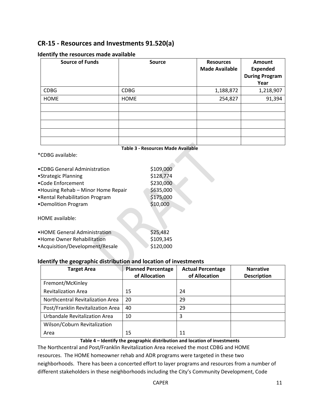## <span id="page-10-0"></span>**CR-15 - Resources and Investments 91.520(a)**

| <b>Source of Funds</b> | <b>Source</b> | <b>Resources</b><br><b>Made Available</b> | Amount<br><b>Expended</b><br><b>During Program</b><br>Year |
|------------------------|---------------|-------------------------------------------|------------------------------------------------------------|
| <b>CDBG</b>            | <b>CDBG</b>   | 1,188,872                                 | 1,218,907                                                  |
| <b>HOME</b>            | <b>HOME</b>   | 254,827                                   | 91,394                                                     |
|                        |               |                                           |                                                            |
|                        |               |                                           |                                                            |
|                        |               |                                           |                                                            |
|                        |               |                                           |                                                            |

#### **Identify the resources made available**

\*CDBG available:

| Table 3 - Resources Made Available |
|------------------------------------|
|------------------------------------|

| •CDBG General Administration       | \$109,000 |
|------------------------------------|-----------|
| •Strategic Planning                | \$128,774 |
| •Code Enforcement                  | \$230,000 |
| •Housing Rehab - Minor Home Repair | \$635,000 |
| .Rental Rehabilitation Program     | \$175,000 |
| •Demolition Program                | \$10,000  |
| HOME available:                    |           |
| • HOME General Administration      | \$25,482  |
| • Home Owner Rehabilitation        | \$109,345 |
| •Acquisition/Development/Resale    | \$120,000 |

#### **Identify the geographic distribution and location of investments**

| <b>Target Area</b>                | <b>Planned Percentage</b><br>of Allocation | <b>Actual Percentage</b><br>of Allocation | <b>Narrative</b><br><b>Description</b> |
|-----------------------------------|--------------------------------------------|-------------------------------------------|----------------------------------------|
| Fremont/McKinley                  |                                            |                                           |                                        |
| <b>Revitalization Area</b>        | 15                                         | 24                                        |                                        |
| Northcentral Revitalization Area  | 20                                         | 29                                        |                                        |
| Post/Franklin Revitalization Area | 40                                         | 29                                        |                                        |
| Urbandale Revitalization Area     | 10                                         | 3                                         |                                        |
| Wilson/Coburn Revitalization      |                                            |                                           |                                        |
| Area                              | 15                                         | 11                                        |                                        |

#### **Table 4 – Identify the geographic distribution and location of investments**

The Northcentral and Post/Franklin Revitalization Area received the most CDBG and HOME resources. The HOME homeowner rehab and ADR programs were targeted in these two neighborhoods. There has been a concerted effort to layer programs and resources from a number of different stakeholders in these neighborhoods including the City's Community Development, Code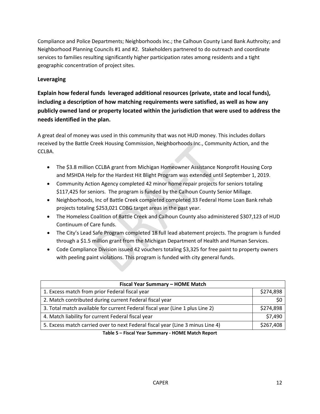Compliance and Police Departments; Neighborhoods Inc.; the Calhoun County Land Bank Authroity; and Neighborhood Planning Councils #1 and #2. Stakeholders partnered to do outreach and coordinate services to families resulting significantly higher participation rates among residents and a tight geographic concentration of project sites.

## **Leveraging**

**Explain how federal funds leveraged additional resources (private, state and local funds), including a description of how matching requirements were satisfied, as well as how any publicly owned land or property located within the jurisdiction that were used to address the needs identified in the plan.**

A great deal of money was used in this community that was not HUD money. This includes dollars received by the Battle Creek Housing Commission, Neighborhoods Inc., Community Action, and the CCLBA.

- The \$3.8 million CCLBA grant from Michigan Homeowner Assistance Nonprofit Housing Corp and MSHDA Help for the Hardest Hit Blight Program was extended until September 1, 2019.
- Community Action Agency completed 42 minor home repair projects for seniors totaling \$117,425 for seniors. The program is funded by the Calhoun County Senior Millage.
- Neighborhoods, Inc of Battle Creek completed completed 33 Federal Home Loan Bank rehab projects totaling \$253,021 CDBG target areas in the past year.
- The Homeless Coalition of Battle Creek and Calhoun County also administered \$307,123 of HUD Continuum of Care funds.
- The City's Lead Safe Program completed 18 full lead abatement projects. The program is funded through a \$1.5 million grant from the Michigan Department of Health and Human Services.
- Code Compliance Division issued 42 vouchers totaling \$3,325 for free paint to property owners with peeling paint violations. This program is funded with city general funds.

| Fiscal Year Summary - HOME Match                                               |           |  |  |  |
|--------------------------------------------------------------------------------|-----------|--|--|--|
| 1. Excess match from prior Federal fiscal year                                 | \$274,898 |  |  |  |
| 2. Match contributed during current Federal fiscal year                        |           |  |  |  |
| 3. Total match available for current Federal fiscal year (Line 1 plus Line 2)  | \$274,898 |  |  |  |
| 4. Match liability for current Federal fiscal year                             | \$7,490   |  |  |  |
| 5. Excess match carried over to next Federal fiscal year (Line 3 minus Line 4) | \$267,408 |  |  |  |
|                                                                                |           |  |  |  |

**Table 5 – Fiscal Year Summary - HOME Match Report**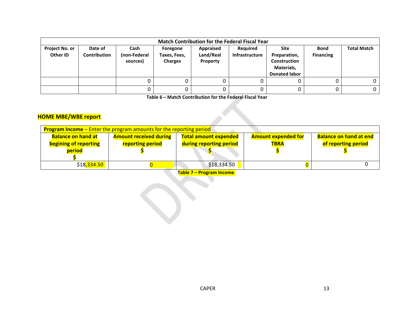| <b>Match Contribution for the Federal Fiscal Year</b> |                         |                                  |                                            |                                    |                                   |                                                                                   |                                 |                    |  |
|-------------------------------------------------------|-------------------------|----------------------------------|--------------------------------------------|------------------------------------|-----------------------------------|-----------------------------------------------------------------------------------|---------------------------------|--------------------|--|
| Project No. or<br>Other ID                            | Date of<br>Contribution | Cash<br>(non-Federal<br>sources) | Foregone<br>Taxes, Fees,<br><b>Charges</b> | Appraised<br>Land/Real<br>Property | Required<br><b>Infrastructure</b> | Site<br>Preparation,<br><b>Construction</b><br>Materials,<br><b>Donated labor</b> | <b>Bond</b><br><b>Financing</b> | <b>Total Match</b> |  |
|                                                       |                         |                                  | 0                                          |                                    |                                   |                                                                                   |                                 | 0                  |  |
|                                                       |                         |                                  | 0                                          |                                    |                                   |                                                                                   |                                 | 0                  |  |

**Table 6 – Match Contribution for the Federal Fiscal Year**

## **HOME MBE/WBE report**

| <b>Program Income</b> – Enter the program amounts for the reporting period |                               |                              |                            |                               |  |  |  |  |
|----------------------------------------------------------------------------|-------------------------------|------------------------------|----------------------------|-------------------------------|--|--|--|--|
| <b>Balance on hand at</b>                                                  | <b>Amount received during</b> | <b>Total amount expended</b> | <b>Amount expended for</b> | <b>Balance on hand at end</b> |  |  |  |  |
| begining of reporting                                                      | reporting period              | during reporting period      | <b>TBRA</b>                | of reporting period           |  |  |  |  |
| period                                                                     |                               |                              |                            |                               |  |  |  |  |
|                                                                            |                               |                              |                            |                               |  |  |  |  |
| \$18,334.50                                                                |                               | \$18,334.50                  |                            |                               |  |  |  |  |

**Table 7 – Program Income**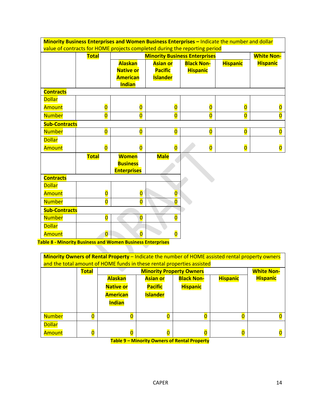| Minority Business Enterprises and Women Business Enterprises - Indicate the number and dollar<br>value of contracts for HOME projects completed during the reporting period |                         |                         |                         |                                      |                         |                         |  |  |  |  |
|-----------------------------------------------------------------------------------------------------------------------------------------------------------------------------|-------------------------|-------------------------|-------------------------|--------------------------------------|-------------------------|-------------------------|--|--|--|--|
|                                                                                                                                                                             |                         |                         |                         |                                      |                         |                         |  |  |  |  |
|                                                                                                                                                                             | <b>Total</b>            |                         |                         | <b>Minority Business Enterprises</b> |                         | <b>White Non-</b>       |  |  |  |  |
|                                                                                                                                                                             |                         | <b>Alaskan</b>          | <b>Asian or</b>         | <b>Black Non-</b>                    | <b>Hispanic</b>         | <b>Hispanic</b>         |  |  |  |  |
|                                                                                                                                                                             |                         | <b>Native or</b>        | <b>Pacific</b>          | <b>Hispanic</b>                      |                         |                         |  |  |  |  |
|                                                                                                                                                                             |                         | <b>American</b>         | <b>Islander</b>         |                                      |                         |                         |  |  |  |  |
|                                                                                                                                                                             |                         | <b>Indian</b>           |                         |                                      |                         |                         |  |  |  |  |
| <b>Contracts</b>                                                                                                                                                            |                         |                         |                         |                                      |                         |                         |  |  |  |  |
| <b>Dollar</b>                                                                                                                                                               |                         |                         |                         |                                      |                         |                         |  |  |  |  |
| Amount                                                                                                                                                                      | $\overline{\mathbf{0}}$ | $\overline{\mathbf{0}}$ | $\overline{\mathbf{0}}$ | $\overline{\mathbf{0}}$              | $\overline{\mathbf{0}}$ | 0                       |  |  |  |  |
| <b>Number</b>                                                                                                                                                               | o                       | $\overline{\mathbf{0}}$ | $\overline{0}$          | $\overline{\mathbf{0}}$              | $\overline{0}$          | $\overline{\mathbf{0}}$ |  |  |  |  |
| <b>Sub-Contracts</b>                                                                                                                                                        |                         |                         |                         |                                      |                         |                         |  |  |  |  |
| <b>Number</b>                                                                                                                                                               | $\overline{\mathbf{0}}$ | $\overline{0}$          | $\overline{\mathbf{0}}$ | $\overline{\mathbf{O}}$              | $\overline{0}$          | $\overline{\mathbf{0}}$ |  |  |  |  |
| <b>Dollar</b>                                                                                                                                                               |                         |                         |                         |                                      |                         |                         |  |  |  |  |
| Amount                                                                                                                                                                      | $\overline{\mathbf{0}}$ | $\overline{0}$          | $\overline{0}$          | $\overline{\mathbf{0}}$              | $\overline{\mathbf{0}}$ | $\overline{\mathbf{0}}$ |  |  |  |  |
|                                                                                                                                                                             | <b>Total</b>            | <b>Women</b>            | <b>Male</b>             |                                      |                         |                         |  |  |  |  |
|                                                                                                                                                                             |                         | <b>Business</b>         |                         |                                      |                         |                         |  |  |  |  |
|                                                                                                                                                                             |                         | <b>Enterprises</b>      |                         |                                      |                         |                         |  |  |  |  |
| <b>Contracts</b>                                                                                                                                                            |                         |                         |                         |                                      |                         |                         |  |  |  |  |
| <b>Dollar</b>                                                                                                                                                               |                         |                         |                         |                                      |                         |                         |  |  |  |  |
| Amount                                                                                                                                                                      | $\overline{\mathbf{0}}$ | $\overline{\mathbf{0}}$ | $\overline{\mathbf{0}}$ |                                      |                         |                         |  |  |  |  |
| <b>Number</b>                                                                                                                                                               | $\overline{\mathbf{0}}$ | $\overline{\mathbf{0}}$ | $\overline{\mathbf{0}}$ |                                      |                         |                         |  |  |  |  |
| <b>Sub-Contracts</b>                                                                                                                                                        |                         |                         |                         |                                      |                         |                         |  |  |  |  |
| <b>Number</b>                                                                                                                                                               | $\overline{\mathbf{0}}$ | $\overline{0}$          | $\overline{\mathbf{0}}$ |                                      |                         |                         |  |  |  |  |
| <b>Dollar</b>                                                                                                                                                               |                         |                         |                         |                                      |                         |                         |  |  |  |  |
| Amount                                                                                                                                                                      | $\overline{\mathbf{0}}$ | $\overline{\mathbf{0}}$ | $\overline{\mathbf{0}}$ |                                      |                         |                         |  |  |  |  |

**Table 8 - Minority Business and Women Business Enterprises**

| <b>Minority Owners of Rental Property - Indicate the number of HOME assisted rental property owners</b><br>and the total amount of HOME funds in these rental properties assisted |                         |                                 |                 |                   |                 |                   |  |
|-----------------------------------------------------------------------------------------------------------------------------------------------------------------------------------|-------------------------|---------------------------------|-----------------|-------------------|-----------------|-------------------|--|
|                                                                                                                                                                                   | <b>Total</b>            | <b>Minority Property Owners</b> |                 |                   |                 | <b>White Non-</b> |  |
|                                                                                                                                                                                   |                         | <b>Alaskan</b>                  | <b>Asian or</b> | <b>Black Non-</b> | <b>Hispanic</b> | <b>Hispanic</b>   |  |
|                                                                                                                                                                                   |                         | <b>Native or</b>                | <b>Pacific</b>  | <b>Hispanic</b>   |                 |                   |  |
|                                                                                                                                                                                   |                         | <b>American</b>                 | <b>Islander</b> |                   |                 |                   |  |
|                                                                                                                                                                                   |                         | <b>Indian</b>                   |                 |                   |                 |                   |  |
| <b>Number</b>                                                                                                                                                                     | Ō                       | $\overline{0}$                  |                 | 0                 |                 |                   |  |
| <b>Dollar</b>                                                                                                                                                                     |                         |                                 |                 |                   |                 |                   |  |
| Amount                                                                                                                                                                            | $\overline{\mathbf{0}}$ | $\overline{\mathbf{0}}$         |                 | 0                 |                 |                   |  |

**Table 9 – Minority Owners of Rental Property**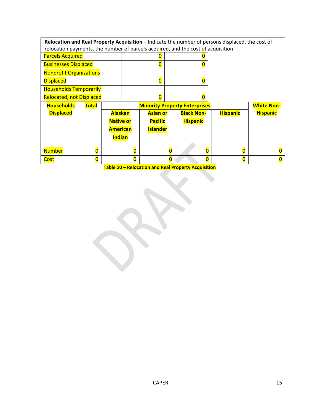| Relocation and Real Property Acquisition - Indicate the number of persons displaced, the cost of |              |                  |   |                                           |                                      |                   |  |                   |                 |
|--------------------------------------------------------------------------------------------------|--------------|------------------|---|-------------------------------------------|--------------------------------------|-------------------|--|-------------------|-----------------|
| relocation payments, the number of parcels acquired, and the cost of acquisition                 |              |                  |   |                                           |                                      |                   |  |                   |                 |
| <b>Parcels Acquired</b>                                                                          |              |                  |   |                                           |                                      |                   |  |                   |                 |
| <b>Businesses Displaced</b>                                                                      |              |                  | 0 |                                           |                                      |                   |  |                   |                 |
| <b>Nonprofit Organizations</b>                                                                   |              |                  |   |                                           |                                      |                   |  |                   |                 |
| <b>Displaced</b>                                                                                 |              |                  |   | $\overline{\mathbf{0}}$<br>$\overline{0}$ |                                      |                   |  |                   |                 |
| <b>Households Temporarily</b>                                                                    |              |                  |   |                                           |                                      |                   |  |                   |                 |
| <b>Relocated, not Displaced</b>                                                                  |              |                  |   | O                                         |                                      |                   |  |                   |                 |
| <b>Households</b>                                                                                | <b>Total</b> |                  |   |                                           | <b>Minority Property Enterprises</b> |                   |  | <b>White Non-</b> |                 |
| <b>Displaced</b>                                                                                 |              | <b>Alaskan</b>   |   | <b>Asian or</b>                           |                                      | <b>Black Non-</b> |  | <b>Hispanic</b>   | <b>Hispanic</b> |
|                                                                                                  |              | <b>Native or</b> |   | <b>Pacific</b>                            |                                      | <b>Hispanic</b>   |  |                   |                 |
|                                                                                                  |              | <b>American</b>  |   | <b>Islander</b>                           |                                      |                   |  |                   |                 |
|                                                                                                  |              | <b>Indian</b>    |   |                                           |                                      |                   |  |                   |                 |
|                                                                                                  |              |                  |   |                                           |                                      |                   |  |                   |                 |
| <b>Number</b>                                                                                    | 0            |                  | 0 |                                           | O                                    |                   |  | 0                 |                 |
| Cost                                                                                             | 0            |                  | 0 |                                           | 0                                    |                   |  | 0                 |                 |

**Table 10 – Relocation and Real Property Acquisition**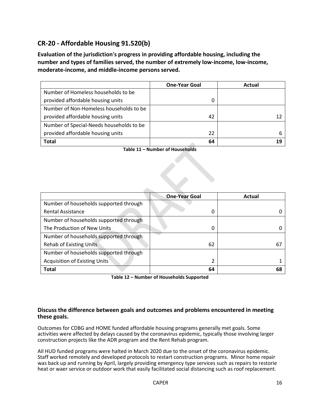## <span id="page-15-0"></span>**CR-20 - Affordable Housing 91.520(b)**

**Evaluation of the jurisdiction's progress in providing affordable housing, including the number and types of families served, the number of extremely low-income, low-income, moderate-income, and middle-income persons served.**

|                                          | <b>One-Year Goal</b> | Actual |
|------------------------------------------|----------------------|--------|
| Number of Homeless households to be      |                      |        |
| provided affordable housing units        |                      |        |
| Number of Non-Homeless households to be  |                      |        |
| provided affordable housing units        | 42                   |        |
| Number of Special-Needs households to be |                      |        |
| provided affordable housing units        | 22                   | h      |
| <b>Total</b>                             | 64                   |        |

**Table 11 – Number of Households**

 $\left\langle \right\rangle$ 

|                                        | <b>One-Year Goal</b> | Actual |
|----------------------------------------|----------------------|--------|
| Number of households supported through |                      |        |
| <b>Rental Assistance</b>               | 0                    |        |
| Number of households supported through |                      |        |
| The Production of New Units            | 0                    |        |
| Number of households supported through |                      |        |
| <b>Rehab of Existing Units</b>         | 62                   | 67     |
| Number of households supported through |                      |        |
| <b>Acquisition of Existing Units</b>   | 2                    |        |
| <b>Total</b>                           | 64                   | 68     |

**Table 12 – Number of Households Supported**

#### **Discuss the difference between goals and outcomes and problems encountered in meeting these goals.**

Outcomes for CDBG and HOME funded affordable housing programs generally met goals. Some activities were affected by delays caused by the coronavirus epidemic, typically those involving larger construction projects like the ADR program and the Rent Rehab program.

All HUD funded programs were halted in March 2020 due to the onset of the coronavirus epidemic. Staff worked remotely and developed protocols to restart construction programs. Minor home repair was back up and running by April, largely providing emergency type services such as repairs to restorie heat or waer service or outdoor work that easily facilitated social distancing such as roof replacement.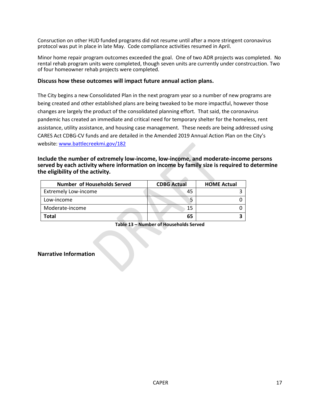Consruction on other HUD funded programs did not resume until after a more stringent coronavirus protocol was put in place in late May. Code compliance activities resumed in April.

Minor home repair program outcomes exceeded the goal. One of two ADR projects was completed. No rental rehab program units were completed, though seven units are currently under constrcuction. Two of four homeowner rehab projects were completed.

#### **Discuss how these outcomes will impact future annual action plans.**

The City begins a new Consolidated Plan in the next program year so a number of new programs are being created and other established plans are being tweaked to be more impactful, however those changes are largely the product of the consolidated planning effort. That said, the coronavirus pandemic has created an immediate and critical need for temporary shelter for the homeless, rent assistance, utility assistance, and housing case management. These needs are being addressed using CARES Act CDBG-CV funds and are detailed in the Amended 2019 Annual Action Plan on the City's website[: www.battlecreekmi.gov/182](http://www.battlecreekmi.gov/182) 

#### **Include the number of extremely low-income, low-income, and moderate-income persons served by each activity where information on income by family size is required to determine the eligibility of the activity.**

 $\sim$ 

| <b>Number of Households Served</b> | <b>CDBG Actual</b> | <b>HOME Actual</b> |  |
|------------------------------------|--------------------|--------------------|--|
| <b>Extremely Low-income</b>        | 45                 |                    |  |
| Low-income                         |                    |                    |  |
| Moderate-income                    | 15                 |                    |  |
| Total                              | 65                 |                    |  |

**Table 13 – Number of Households Served**

#### **Narrative Information**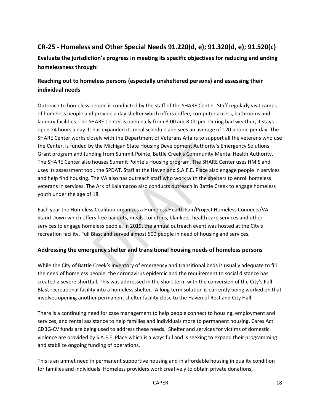## <span id="page-17-0"></span>**CR-25 - Homeless and Other Special Needs 91.220(d, e); 91.320(d, e); 91.520(c)**

**Evaluate the jurisdiction's progress in meeting its specific objectives for reducing and ending homelessness through:**

## **Reaching out to homeless persons (especially unsheltered persons) and assessing their individual needs**

Outreach to homeless people is conducted by the staff of the SHARE Center. Staff regularly visit camps of homeless people and provide a day shelter which offers coffee, computer access, bathrooms and laundry facilities. The SHARE Center is open daily from 8:00 am-8:00 pm. During bad weather, it stays open 24 hours a day. It has expanded its meal schedule and sees an average of 120 people per day. The SHARE Center works closely with the Department of Veterans Affairs to support all the veterans who use the Center, is funded by the Michigan State Housing Development Authority's Emergency Solutions Grant program and funding from Summit Pointe, Battle Creek's Community Mental Health Authority. The SHARE Center also houses Summit Pointe's Housing program. The SHARE Center uses HMIS and uses its assessment tool, the SPDAT. Staff at the Haven and S.A.F.E. Place also engage people in services and help find housing. The VA also has outreach staff who work with the shelters to enroll homeless veterans in services. The Ark of Kalamazoo also conducts outreach in Battle Creek to engage homeless youth under the age of 18.

Each year the Homeless Coalition organizes a Homeless Health Fair/Project Homeless Connects/VA Stand Down which offers free haircuts, meals, toiletries, blankets, health care services and other services to engage homeless people. In 2019, the annual outreach event was hosted at the City's recreation facility, Full Blast and served almost 500 people in need of housing and services.

## **Addressing the emergency shelter and transitional housing needs of homeless persons**

While the City of Battle Creek's inventory of emergency and transitional beds is usually adequate to fill the need of homeless people, the coronavirus epidemic and the requirement to social distance has created a severe shortfall. This was addressed in the short term with the conversion of the City's Full Blast recreational facility into a homeless shelter. A long term solution is currently being worked on that involves opening another permanent shelter facility close to the Haven of Rest and City Hall.

There is a continuing need for case management to help people connect to housing, employment and services, and rental assistance to help families and individuals more to permanent housing. Cares Act CDBG-CV funds are being used to address these needs. Shelter and services for victims of domestic violence are provided by S.A.F.E. Place which is always full and is seeking to expand their programming and stabilize ongoing funding of operations.

This is an unmet need in permanent supportive housing and in affordable housing in quality condition for families and individuals. Homeless providers work creatively to obtain private donations,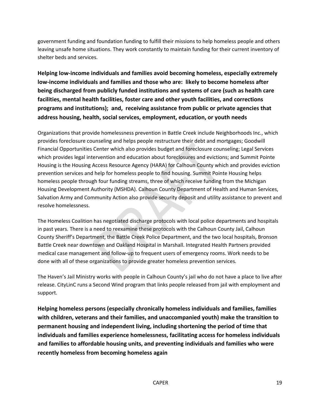government funding and foundation funding to fulfill their missions to help homeless people and others leaving unsafe home situations. They work constantly to maintain funding for their current inventory of shelter beds and services.

**Helping low-income individuals and families avoid becoming homeless, especially extremely low-income individuals and families and those who are: likely to become homeless after being discharged from publicly funded institutions and systems of care (such as health care facilities, mental health facilities, foster care and other youth facilities, and corrections programs and institutions); and, receiving assistance from public or private agencies that address housing, health, social services, employment, education, or youth needs**

Organizations that provide homelessness prevention in Battle Creek include Neighborhoods Inc., which provides foreclosure counseling and helps people restructure their debt and mortgages; Goodwill Financial Opportunities Center which also provides budget and foreclosure counseling; Legal Services which provides legal intervention and education about foreclosures and evictions; and Summit Pointe Housing is the Housing Access Resource Agency (HARA) for Calhoun County which and provides eviction prevention services and help for homeless people to find housing. Summit Pointe Housing helps homeless people through four funding streams, three of which receive funding from the Michigan Housing Development Authority (MSHDA). Calhoun County Department of Health and Human Services, Salvation Army and Community Action also provide security deposit and utility assistance to prevent and resolve homelessness.

The Homeless Coalition has negotiated discharge protocols with local police departments and hospitals in past years. There is a need to reexamine these protocols with the Calhoun County Jail, Calhoun County Sheriff's Department, the Battle Creek Police Department, and the two local hospitals, Bronson Battle Creek near downtown and Oakland Hospital in Marshall. Integrated Health Partners provided medical case management and follow-up to frequent users of emergency rooms. Work needs to be done with all of these organizations to provide greater homeless prevention services.

The Haven's Jail Ministry works with people in Calhoun County's jail who do not have a place to live after release. CityLinC runs a Second Wind program that links people released from jail with employment and support.

**Helping homeless persons (especially chronically homeless individuals and families, families with children, veterans and their families, and unaccompanied youth) make the transition to permanent housing and independent living, including shortening the period of time that individuals and families experience homelessness, facilitating access for homeless individuals and families to affordable housing units, and preventing individuals and families who were recently homeless from becoming homeless again**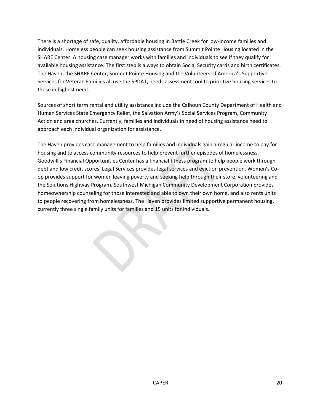There is a shortage of safe, quality, affordable housing in Battle Creek for low-income families and individuals. Homeless people can seek housing assistance from Summit Pointe Housing located in the SHARE Center. A housing case manager works with families and individuals to see if they qualify for available housing assistance. The first step is always to obtain Social Security cards and birth certificates. The Haven, the SHARE Center, Summit Pointe Housing and the Volunteers of America's Supportive Services for Veteran Families all use the SPDAT, needs assessment tool to prioritize housing services to those in highest need.

Sources of short term rental and utility assistance include the Calhoun County Department of Health and Human Services State Emergency Relief, the Salvation Army's Social Services Program, Community Action and area churches. Currently, families and individuals in need of housing assistance need to approach each individual organization for assistance.

The Haven provides case management to help families and individuals gain a regular income to pay for housing and to access community resources to help prevent further episodes of homelessness. Goodwill's Financial Opportunities Center has a financial fitness program to help people work through debt and low credit scores. Legal Services provides legal services and eviction prevention. Women's Coop provides support for women leaving poverty and seeking help through their store, volunteering and the Solutions Highway Program. Southwest Michigan Community Development Corporation provides homeownership counseling for those interested and able to own their own home, and also rents units to people recovering from homelessness. The Haven provides limited supportive permanent housing, currently three single family units for families and 15 units for individuals.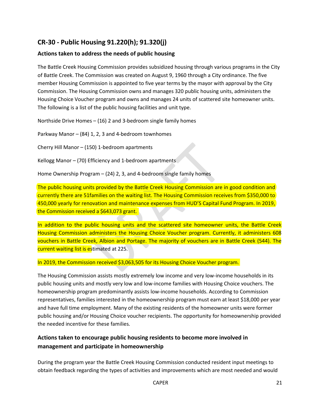## <span id="page-20-0"></span>**CR-30 - Public Housing 91.220(h); 91.320(j)**

### **Actions taken to address the needs of public housing**

The Battle Creek Housing Commission provides subsidized housing through various programs in the City of Battle Creek. The Commission was created on August 9, 1960 through a City ordinance. The five member Housing Commission is appointed to five year terms by the mayor with approval by the City Commission. The Housing Commission owns and manages 320 public housing units, administers the Housing Choice Voucher program and owns and manages 24 units of scattered site homeowner units. The following is a list of the public housing facilities and unit type.

Northside Drive Homes – (16) 2 and 3-bedroom single family homes

Parkway Manor – (84) 1, 2, 3 and 4-bedroom townhomes

Cherry Hill Manor – (150) 1-bedroom apartments

Kellogg Manor – (70) Efficiency and 1-bedroom apartments

Home Ownership Program – (24) 2, 3, and 4-bedroom single family homes

The public housing units provided by the Battle Creek Housing Commission are in good condition and currently there are 51families on the waiting list. The Housing Commission receives from \$350,000 to 450,000 yearly for renovation and maintenance expenses from HUD'S Capital Fund Program. In 2019, the Commission received a \$643,073 grant.

In addition to the public housing units and the scattered site homeowner units, the Battle Creek Housing Commission administers the Housing Choice Voucher program. Currently, it administers 608 vouchers in Battle Creek, Albion and Portage. The majority of vouchers are in Battle Creek (544). The current waiting list is estimated at 225.

In 2019, the Commission received \$3,063,505 for its Housing Choice Voucher program.

The Housing Commission assists mostly extremely low income and very low-income households in its public housing units and mostly very low and low-income families with Housing Choice vouchers. The homeownership program predominantly assists low-income households. According to Commission representatives, families interested in the homeownership program must earn at least \$18,000 per year and have full time employment. Many of the existing residents of the homeowner units were former public housing and/or Housing Choice voucher recipients. The opportunity for homeownership provided the needed incentive for these families.

## **Actions taken to encourage public housing residents to become more involved in management and participate in homeownership**

During the program year the Battle Creek Housing Commission conducted resident input meetings to obtain feedback regarding the types of activities and improvements which are most needed and would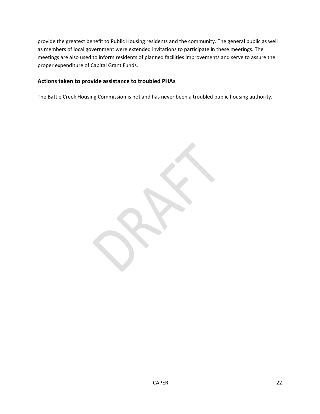provide the greatest benefit to Public Housing residents and the community. The general public as well as members of local government were extended invitations to participate in these meetings. The meetings are also used to inform residents of planned facilities improvements and serve to assure the proper expenditure of Capital Grant Funds.

#### **Actions taken to provide assistance to troubled PHAs**

The Battle Creek Housing Commission is not and has never been a troubled public housing authority.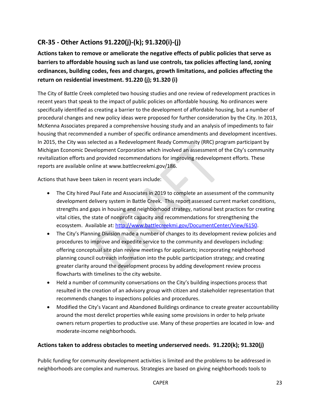## <span id="page-22-0"></span>**CR-35 - Other Actions 91.220(j)-(k); 91.320(i)-(j)**

**Actions taken to remove or ameliorate the negative effects of public policies that serve as barriers to affordable housing such as land use controls, tax policies affecting land, zoning ordinances, building codes, fees and charges, growth limitations, and policies affecting the return on residential investment. 91.220 (j); 91.320 (i)**

The City of Battle Creek completed two housing studies and one review of redevelopment practices in recent years that speak to the impact of public policies on affordable housing. No ordinances were specifically identified as creating a barrier to the development of affordable housing, but a number of procedural changes and new policy ideas were proposed for further consideration by the City. In 2013, McKenna Associates prepared a comprehensive housing study and an analysis of impediments to fair housing that recommended a number of specific ordinance amendments and development incentives. In 2015, the City was selected as a Redevelopment Ready Community (RRC) program participant by Michigan Economic Development Corporation which involved an assessment of the City's community revitalization efforts and provided recommendations for improving redevelopment efforts. These reports are available online at www.battlecreekmi.gov/186.

Actions that have been taken in recent years include:

- The City hired Paul Fate and Associates in 2019 to complete an assessment of the community development delivery system in Battle Creek. This report assessed current market conditions, strengths and gaps in housing and neighborhood strategy, national best practices for creating vital cities, the state of nonprofit capacity and recommendations for strengthening the ecosystem. Available at: [http://www.battlecreekmi.gov/DocumentCenter/View/6150.](http://www.battlecreekmi.gov/DocumentCenter/View/6150)
- The City's Planning Division made a number of changes to its development review policies and procedures to improve and expedite service to the community and developers including: offering conceptual site plan review meetings for applicants; incorporating neighborhood planning council outreach information into the public participation strategy; and creating greater clarity around the development process by adding development review process flowcharts with timelines to the city website.
- Held a number of community conversations on the City's building inspections process that resulted in the creation of an advisory group with citizen and stakeholder representation that recommends changes to inspections policies and procedures.
- Modified the City's Vacant and Abandoned Buildings ordinance to create greater accountability around the most derelict properties while easing some provisions in order to help private owners return properties to productive use. Many of these properties are located in low- and moderate-income neighborhoods.

## **Actions taken to address obstacles to meeting underserved needs. 91.220(k); 91.320(j)**

Public funding for community development activities is limited and the problems to be addressed in neighborhoods are complex and numerous. Strategies are based on giving neighborhoods tools to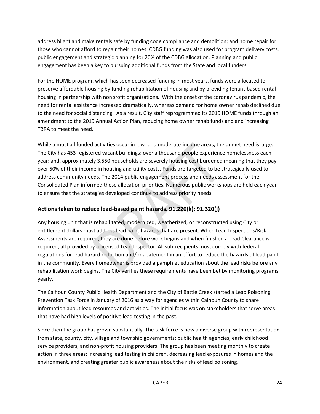address blight and make rentals safe by funding code compliance and demolition; and home repair for those who cannot afford to repair their homes. CDBG funding was also used for program delivery costs, public engagement and strategic planning for 20% of the CDBG allocation. Planning and public engagement has been a key to pursuing additional funds from the State and local funders.

For the HOME program, which has seen decreased funding in most years, funds were allocated to preserve affordable housing by funding rehabilitation of housing and by providing tenant-based rental housing in partnership with nonprofit organizations. With the onset of the coronavirus pandemic, the need for rental assistance increased dramatically, whereas demand for home owner rehab declined due to the need for social distancing. As a result, City staff reprogrammed its 2019 HOME funds through an amendment to the 2019 Annual Action Plan, reducing home owner rehab funds and and increasing TBRA to meet the need.

While almost all funded activities occur in low- and moderate-income areas, the unmet need is large. The City has 453 registered vacant buildings; over a thousand people experience homelessness each year; and, approximately 3,550 households are severely housing cost burdened meaning that they pay over 50% of their income in housing and utility costs. Funds are targeted to be strategically used to address community needs. The 2014 public engagement process and needs assessment for the Consolidated Plan informed these allocation priorities. Numerous public workshops are held each year to ensure that the strategies developed continue to address priority needs.

## **Actions taken to reduce lead-based paint hazards. 91.220(k); 91.320(j)**

Any housing unit that is rehabilitated, modernized, weatherized, or reconstructed using City or entitlement dollars must address lead paint hazards that are present. When Lead Inspections/Risk Assessments are required, they are done before work begins and when finished a Lead Clearance is required, all provided by a licensed Lead Inspector. All sub-recipients must comply with federal regulations for lead hazard reduction and/or abatement in an effort to reduce the hazards of lead paint in the community. Every homeowner is provided a pamphlet education about the lead risks before any rehabilitation work begins. The City verifies these requirements have been bet by monitoring programs yearly.

The Calhoun County Public Health Department and the City of Battle Creek started a Lead Poisoning Prevention Task Force in January of 2016 as a way for agencies within Calhoun County to share information about lead resources and activities. The initial focus was on stakeholders that serve areas that have had high levels of positive lead testing in the past.

Since then the group has grown substantially. The task force is now a diverse group with representation from state, county, city, village and township governments; public health agencies, early childhood service providers, and non-profit housing providers. The group has been meeting monthly to create action in three areas: increasing lead testing in children, decreasing lead exposures in homes and the environment, and creating greater public awareness about the risks of lead poisoning.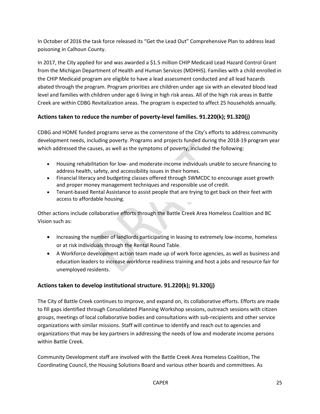In October of 2016 the task force released its "Get the Lead Out" Comprehensive Plan to address lead poisoning in Calhoun County.

In 2017, the City applied for and was awarded a \$1.5 million CHIP Medicaid Lead Hazard Control Grant from the Michigan Department of Health and Human Services (MDHHS). Families with a child enrolled in the CHIP Medicaid program are eligible to have a lead assessment conducted and all lead hazards abated through the program. Program priorities are children under age six with an elevated blood lead level and families with children under age 6 living in high risk areas. All of the high risk areas in Battle Creek are within CDBG Revitalization areas. The program is expected to affect 25 households annually.

## **Actions taken to reduce the number of poverty-level families. 91.220(k); 91.320(j)**

CDBG and HOME funded programs serve as the cornerstone of the City's efforts to address community development needs, including poverty. Programs and projects funded during the 2018-19 program year which addressed the causes, as well as the symptoms of poverty, included the following:

- Housing rehabilitation for low- and moderate-income individuals unable to secure financing to address health, safety, and accessibility issues in their homes.
- Financial literacy and budgeting classes offered through SWMCDC to encourage asset growth and proper money management techniques and responsible use of credit.
- Tenant-based Rental Assistance to assist people that are trying to get back on their feet with access to affordable housing.

Other actions include collaborative efforts through the Battle Creek Area Homeless Coalition and BC Vision such as:

- Increasing the number of landlords participating in leasing to extremely low-income, homeless or at risk individuals through the Rental Round Table.
- A Workforce development action team made up of work force agencies, as well as business and education leaders to increase workforce readiness training and host a jobs and resource fair for unemployed residents.

## **Actions taken to develop institutional structure. 91.220(k); 91.320(j)**

The City of Battle Creek continues to improve, and expand on, its collaborative efforts. Efforts are made to fill gaps identified through Consolidated Planning Workshop sessions, outreach sessions with citizen groups, meetings of local collaborative bodies and consultations with sub-recipients and other service organizations with similar missions. Staff will continue to identify and reach out to agencies and organizations that may be key partners in addressing the needs of low and moderate income persons within Battle Creek.

Community Development staff are involved with the Battle Creek Area Homeless Coalition, The Coordinating Council, the Housing Solutions Board and various other boards and committees. As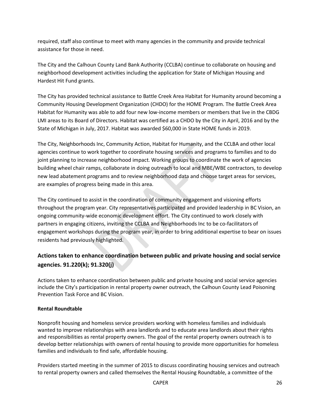required, staff also continue to meet with many agencies in the community and provide technical assistance for those in need.

The City and the Calhoun County Land Bank Authority (CCLBA) continue to collaborate on housing and neighborhood development activities including the application for State of Michigan Housing and Hardest Hit Fund grants.

The City has provided technical assistance to Battle Creek Area Habitat for Humanity around becoming a Community Housing Development Organization (CHDO) for the HOME Program. The Battle Creek Area Habitat for Humanity was able to add four new low-income members or members that live in the CBDG LMI areas to its Board of Directors. Habitat was certified as a CHDO by the City in April, 2016 and by the State of Michigan in July, 2017. Habitat was awarded \$60,000 in State HOME funds in 2019.

The City, Neighborhoods Inc, Community Action, Habitat for Humanity, and the CCLBA and other local agencies continue to work together to coordinate housing services and programs to families and to do joint planning to increase neighborhood impact. Working groups to coordinate the work of agencies building wheel chair ramps, collaborate in doing outreach to local and MBE/WBE contractors, to develop new lead abatement programs and to review neighborhood data and choose target areas for services, are examples of progress being made in this area.

The City continued to assist in the coordination of community engagement and visioning efforts throughout the program year. City representatives participated and provided leadership in BC Vision, an ongoing community-wide economic development effort. The City continued to work closely with partners in engaging citizens, inviting the CCLBA and Neighborhoods Inc to be co-facilitators of engagement workshops during the program year, in order to bring additional expertise to bear on issues residents had previously highlighted.

## **Actions taken to enhance coordination between public and private housing and social service agencies. 91.220(k); 91.320(j)**

Actions taken to enhance coordination between public and private housing and social service agencies include the City's participation in rental property owner outreach, the Calhoun County Lead Poisoning Prevention Task Force and BC Vision.

## **Rental Roundtable**

Nonprofit housing and homeless service providers working with homeless families and individuals wanted to improve relationships with area landlords and to educate area landlords about their rights and responsibilities as rental property owners. The goal of the rental property owners outreach is to develop better relationships with owners of rental housing to provide more opportunities for homeless families and individuals to find safe, affordable housing.

Providers started meeting in the summer of 2015 to discuss coordinating housing services and outreach to rental property owners and called themselves the Rental Housing Roundtable, a committee of the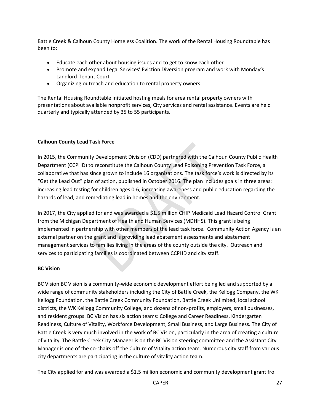Battle Creek & Calhoun County Homeless Coalition. The work of the Rental Housing Roundtable has been to:

- Educate each other about housing issues and to get to know each other
- Promote and expand Legal Services' Eviction Diversion program and work with Monday's Landlord-Tenant Court
- Organizing outreach and education to rental property owners

The Rental Housing Roundtable initiated hosting meals for area rental property owners with presentations about available nonprofit services, City services and rental assistance. Events are held quarterly and typically attended by 35 to 55 participants.

#### **Calhoun County Lead Task Force**

In 2015, the Community Development Division (CDD) partnered with the Calhoun County Public Health Department (CCPHD) to reconstitute the Calhoun County Lead Poisoning Prevention Task Force, a collaborative that has since grown to include 16 organizations. The task force's work is directed by its "Get the Lead Out" plan of action, published in October 2016. The plan includes goals in three areas: increasing lead testing for children ages 0-6; increasing awareness and public education regarding the hazards of lead; and remediating lead in homes and the environment.

In 2017, the City applied for and was awarded a \$1.5 million CHIP Medicaid Lead Hazard Control Grant from the Michigan Department of Health and Human Services (MDHHS). This grant is being implemented in partnership with other members of the lead task force. Community Action Agency is an external partner on the grant and is providing lead abatement assessments and abatement management services to families living in the areas of the county outside the city. Outreach and services to participating families is coordinated between CCPHD and city staff.

#### **BC Vision**

BC Vision BC Vision is a community-wide economic development effort being led and supported by a wide range of community stakeholders including the City of Battle Creek, the Kellogg Company, the WK Kellogg Foundation, the Battle Creek Community Foundation, Battle Creek Unlimited, local school districts, the WK Kellogg Community College, and dozens of non-profits, employers, small businesses, and resident groups. BC Vision has six action teams: College and Career Readiness, Kindergarten Readiness, Culture of Vitality, Workforce Development, Small Business, and Large Business. The City of Battle Creek is very much involved in the work of BC Vision, particularly in the area of creating a culture of vitality. The Battle Creek City Manager is on the BC Vision steering committee and the Assistant City Manager is one of the co-chairs off the Culture of Vitality action team. Numerous city staff from various city departments are participating in the culture of vitality action team.

The City applied for and was awarded a \$1.5 million economic and community development grant fro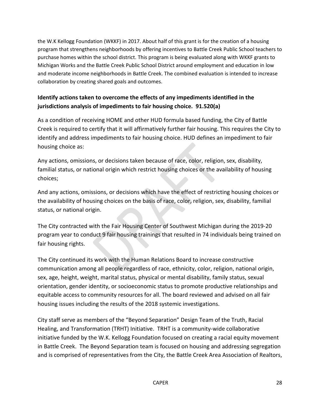the W.K Kellogg Foundation (WKKF) in 2017. About half of this grant is for the creation of a housing program that strengthens neighborhoods by offering incentives to Battle Creek Public School teachers to purchase homes within the school district. This program is being evaluated along with WKKF grants to Michigan Works and the Battle Creek Public School District around employment and education in low and moderate income neighborhoods in Battle Creek. The combined evaluation is intended to increase collaboration by creating shared goals and outcomes.

## **Identify actions taken to overcome the effects of any impediments identified in the jurisdictions analysis of impediments to fair housing choice. 91.520(a)**

As a condition of receiving HOME and other HUD formula based funding, the City of Battle Creek is required to certify that it will affirmatively further fair housing. This requires the City to identify and address impediments to fair housing choice. HUD defines an impediment to fair housing choice as:

Any actions, omissions, or decisions taken because of race, color, religion, sex, disability, familial status, or national origin which restrict housing choices or the availability of housing choices;

And any actions, omissions, or decisions which have the effect of restricting housing choices or the availability of housing choices on the basis of race, color, religion, sex, disability, familial status, or national origin.

The City contracted with the Fair Housing Center of Southwest Michigan during the 2019-20 program year to conduct 9 fair housing trainings that resulted in 74 individuals being trained on fair housing rights.

The City continued its work with the Human Relations Board to increase constructive communication among all people regardless of race, ethnicity, color, religion, national origin, sex, age, height, weight, marital status, physical or mental disability, family status, sexual orientation, gender identity, or socioeconomic status to promote productive relationships and equitable access to community resources for all. The board reviewed and advised on all fair housing issues including the results of the 2018 systemic investigations.

City staff serve as members of the "Beyond Separation" Design Team of the Truth, Racial Healing, and Transformation (TRHT) Initiative. TRHT is a community-wide collaborative initiative funded by the W.K. Kellogg Foundation focused on creating a racial equity movement in Battle Creek. The Beyond Separation team is focused on housing and addressing segregation and is comprised of representatives from the City, the Battle Creek Area Association of Realtors,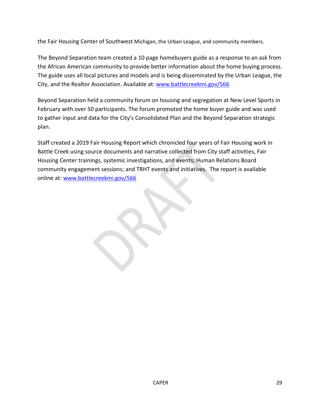the Fair Housing Center of Southwest Michigan, the Urban League, and community members.

The Beyond Separation team created a 10 page homebuyers guide as a response to an ask from the African American community to provide better information about the home buying process. The guide uses all local pictures and models and is being disseminated by the Urban League, the City, and the Realtor Association. Available at: [www.battlecreekmi.gov/566](http://www.battlecreekmi.gov/566)

Beyond Separation held a community forum on housing and segregation at New Level Sports in February with over 50 participants. The forum promoted the home buyer guide and was used to gather input and data for the City's Consolidated Plan and the Beyond Separation strategic plan.

Staff created a 2019 Fair Housing Report which chronicled four years of Fair Housing work in Battle Creek using source documents and narrative collected from City staff activities, Fair Housing Center trainings, systemic investigations, and events; Human Relations Board community engagement sessions; and TRHT events and initiatives. The report is available online at: [www.battlecreekmi.gov/566](http://www.battlecreekmi.gov/566)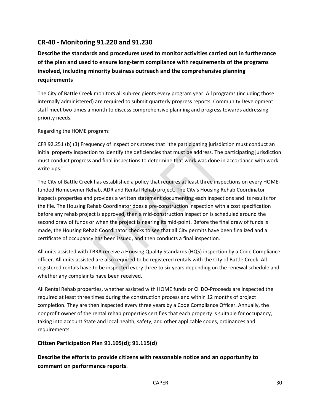## <span id="page-29-0"></span>**CR-40 - Monitoring 91.220 and 91.230**

**Describe the standards and procedures used to monitor activities carried out in furtherance of the plan and used to ensure long-term compliance with requirements of the programs involved, including minority business outreach and the comprehensive planning requirements**

The City of Battle Creek monitors all sub-recipients every program year. All programs (including those internally administered) are required to submit quarterly progress reports. Community Development staff meet two times a month to discuss comprehensive planning and progress towards addressing priority needs.

Regarding the HOME program:

CFR 92.251 (b) (3) Frequency of inspections states that "the participating jurisdiction must conduct an initial property inspection to identify the deficiencies that must be address. The participating jurisdiction must conduct progress and final inspections to determine that work was done in accordance with work write-ups."

The City of Battle Creek has established a policy that requires at least three inspections on every HOMEfunded Homeowner Rehab, ADR and Rental Rehab project. The City's Housing Rehab Coordinator inspects properties and provides a written statement documenting each inspections and its results for the file. The Housing Rehab Coordinator does a pre-construction inspection with a cost specification before any rehab project is approved, then a mid-construction inspection is scheduled around the second draw of funds or when the project is nearing its mid-point. Before the final draw of funds is made, the Housing Rehab Coordinator checks to see that all City permits have been finalized and a certificate of occupancy has been issued, and then conducts a final inspection.

All units assisted with TBRA receive a Housing Quality Standards (HQS) inspection by a Code Compliance officer. All units assisted are also required to be registered rentals with the City of Battle Creek. All registered rentals have to be inspected every three to six years depending on the renewal schedule and whether any complaints have been received.

All Rental Rehab properties, whether assisted with HOME funds or CHDO-Proceeds are inspected the required at least three times during the construction process and within 12 months of project completion. They are then inspected every three years by a Code Compliance Officer. Annually, the nonprofit owner of the rental rehab properties certifies that each property is suitable for occupancy, taking into account State and local health, safety, and other applicable codes, ordinances and requirements.

## **Citizen Participation Plan 91.105(d); 91.115(d)**

**Describe the efforts to provide citizens with reasonable notice and an opportunity to comment on performance reports**.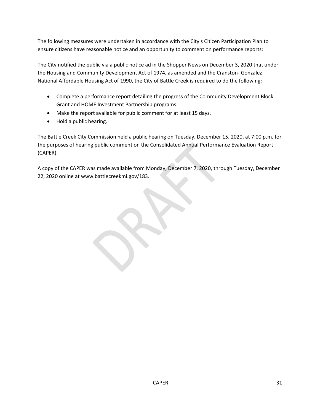The following measures were undertaken in accordance with the City's Citizen Participation Plan to ensure citizens have reasonable notice and an opportunity to comment on performance reports:

The City notified the public via a public notice ad in the Shopper News on December 3, 2020 that under the Housing and Community Development Act of 1974, as amended and the Cranston- Gonzalez National Affordable Housing Act of 1990, the City of Battle Creek is required to do the following:

- Complete a performance report detailing the progress of the Community Development Block Grant and HOME Investment Partnership programs.
- Make the report available for public comment for at least 15 days.
- Hold a public hearing.

The Battle Creek City Commission held a public hearing on Tuesday, December 15, 2020, at 7:00 p.m. for the purposes of hearing public comment on the Consolidated Annual Performance Evaluation Report (CAPER).

A copy of the CAPER was made available from Monday, December 7, 2020, through Tuesday, December 22, 2020 online at www.battlecreekmi.gov/183.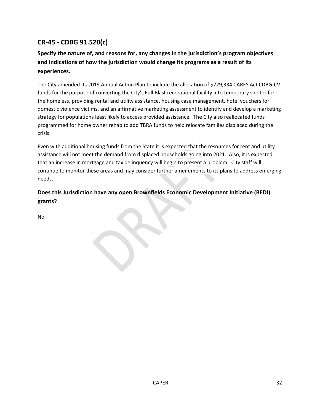## <span id="page-31-0"></span>**CR-45 - CDBG 91.520(c)**

## **Specify the nature of, and reasons for, any changes in the jurisdiction's program objectives and indications of how the jurisdiction would change its programs as a result of its experiences.**

The City amended its 2019 Annual Action Plan to include the allocation of \$729,334 CARES Act CDBG-CV funds for the purpose of converting the City's Full Blast recreational facility into temporary shelter for the homeless, providing rental and utility assistance, housing case management, hotel vouchers for domestic violence victims, and an affirmative marketing assessment to identify and develop a marketing strategy for populations least likely to access provided assistance. The City also reallocated funds programmed for home owner rehab to add TBRA funds to help relocate families displaced during the crisis.

Even with additional housing funds from the State it is expected that the resources for rent and utility assistance will not meet the demand from displaced households going into 2021. Also, it is expected that an increase in mortgage and tax delinquency will begin to present a problem. City staff will continue to monitor these areas and may consider further amendments to its plans to address emerging needs.

## **Does this Jurisdiction have any open Brownfields Economic Development Initiative (BEDI) grants?**

No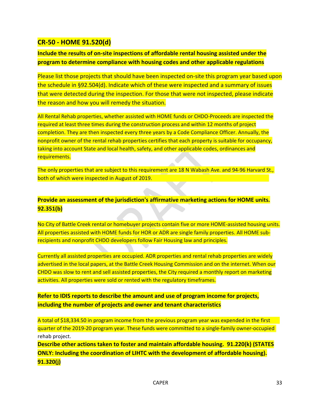## <span id="page-32-0"></span>**CR-50 - HOME 91.520(d)**

## **Include the results of on-site inspections of affordable rental housing assisted under the program to determine compliance with housing codes and other applicable regulations**

Please list those projects that should have been inspected on-site this program year based upon the schedule in §92.504(d). Indicate which of these were inspected and a summary of issues that were detected during the inspection. For those that were not inspected, please indicate the reason and how you will remedy the situation.

All Rental Rehab properties, whether assisted with HOME funds or CHDO-Proceeds are inspected the required at least three times during the construction process and within 12 months of project completion. They are then inspected every three years by a Code Compliance Officer. Annually, the nonprofit owner of the rental rehab properties certifies that each property is suitable for occupancy, taking into account State and local health, safety, and other applicable codes, ordinances and requirements.

The only properties that are subject to this requirement are 18 N Wabash Ave. and 94-96 Harvard St., both of which were inspected in August of 2019.

## **Provide an assessment of the jurisdiction's affirmative marketing actions for HOME units. 92.351(b)**

No City of Battle Creek rental or homebuyer projects contain five or more HOME-assisted housing units. All properties assisted with HOME funds for HOR or ADR are single family properties. All HOME subrecipients and nonprofit CHDO developers follow Fair Housing law and principles.

Currently all assisted properties are occupied. ADR properties and rental rehab properties are widely advertised in the local papers, at the Battle Creek Housing Commission and on the internet. When our CHDO was slow to rent and sell assisted properties, the City required a monthly report on marketing activities. All properties were sold or rented with the regulatory timeframes.

## **Refer to IDIS reports to describe the amount and use of program income for projects, including the number of projects and owner and tenant characteristics**

A total of \$18,334.50 in program income from the previous program year was expended in the first quarter of the 2019-20 program year. These funds were committed to a single-family owner-occupied rehab project.

**Describe other actions taken to foster and maintain affordable housing. 91.220(k) (STATES ONLY: Including the coordination of LIHTC with the development of affordable housing). 91.320(j)**